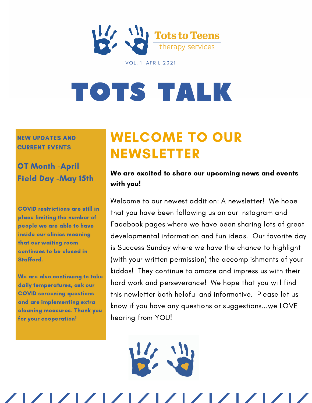

**VOL. 1 APRIL 2021** 

# [TOTS](http://www.facebook.com/totstoteenstherapy) TALK

NEW UPDATES AND CURRENT EVENTS

OT Month -April Field Day -May 15th

COVID restrictions are still in place limiting the number of people we are able to have inside our clinics meaning that our waiting room continues to be closed in Stafford.

We are also continuing to take daily temperatures, ask our COVID screening questions and are implementing extra cleaning measures. Thank you for your cooperation!

### WELCOME TO OUR NEWSLETTER

#### We are excited to share our upcoming news and events with you!

Welcome to our newest addition: A newsletter! We hope that you have been following us on our Instagram and Facebook pages where we have been sharing lots of great developmental information and fun ideas. Our favorite day is Success Sunday where we have the chance to highlight (with your written permission) the accomplishments of your kiddos! They continue to amaze and impress us with their hard work and perseverance! We hope that you will find this newletter both helpful and informative. Please let us know if you have any questions or suggestions...we LOVE hearing from YOU!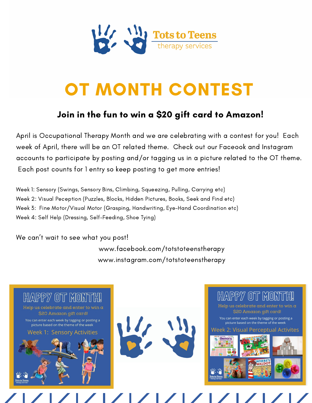

## OT MONTH CONTEST

#### Join in the fun to win a \$20 gift card to Amazon!

April is Occupational Therapy Month and we are celebrating with a contest for you! Each week of April, there will be an OT related theme. Check out our Faceook and Instagram accounts to participate by posting and/or tagging us in a picture related to the OT theme. Each post counts for 1 entry so keep posting to get more entries!

Week 1: Sensory (Swings, Sensory Bins, Climbing, Squeezing, Pulling, Carrying etc) Week 2: Visual Peception (Puzzles, Blocks, Hidden Pictures, Books, Seek and Find etc) Week 3: Fine Motor/Visual Motor (Grasping, Handwriting, Eye-Hand Coordination etc) Week 4: Self Help (Dressing, Self-Feeding, Shoe Tying)

We can't wait to see what you post!

www.facebook.com/totstoteenstherapy www.instagram.com/totstoteenstherapy